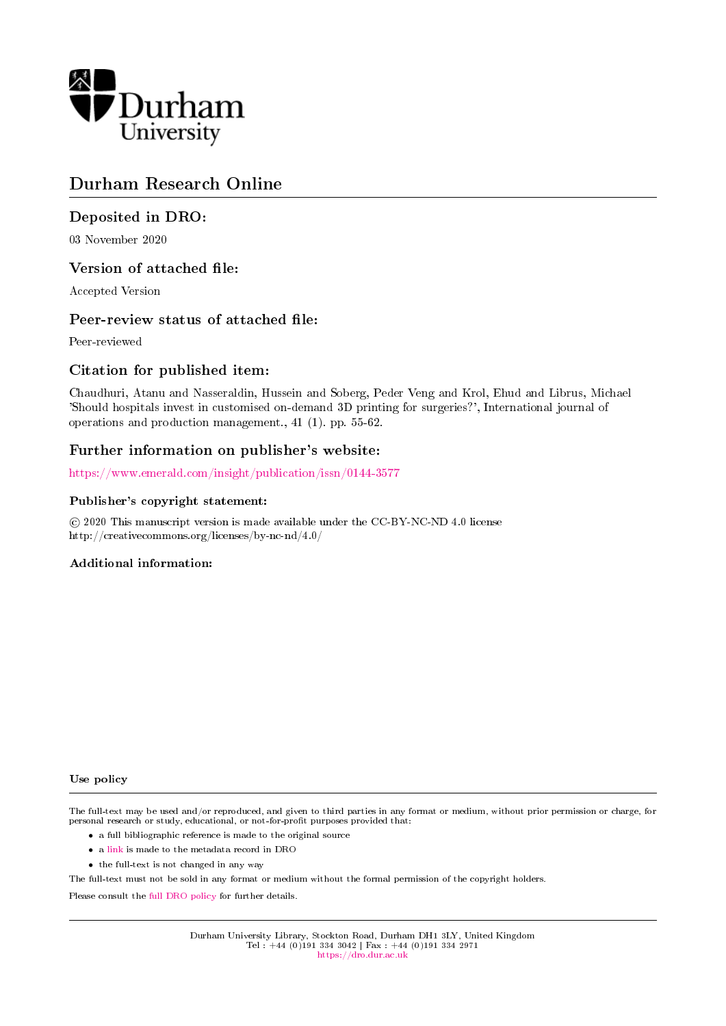

# Durham Research Online

#### Deposited in DRO:

03 November 2020

#### Version of attached file:

Accepted Version

#### Peer-review status of attached file:

Peer-reviewed

#### Citation for published item:

Chaudhuri, Atanu and Nasseraldin, Hussein and Soberg, Peder Veng and Krol, Ehud and Librus, Michael 'Should hospitals invest in customised on-demand 3D printing for surgeries?', International journal of operations and production management., 41 (1). pp. 55-62.

#### Further information on publisher's website:

<https://www.emerald.com/insight/publication/issn/0144-3577>

#### Publisher's copyright statement:

 $\overline{c}$  2020 This manuscript version is made available under the CC-BY-NC-ND 4.0 license http://creativecommons.org/licenses/by-nc-nd/4.0/

#### Additional information:

#### Use policy

The full-text may be used and/or reproduced, and given to third parties in any format or medium, without prior permission or charge, for personal research or study, educational, or not-for-profit purposes provided that:

- a full bibliographic reference is made to the original source
- a [link](http://dro.dur.ac.uk/32057/) is made to the metadata record in DRO
- the full-text is not changed in any way

The full-text must not be sold in any format or medium without the formal permission of the copyright holders.

Please consult the [full DRO policy](https://dro.dur.ac.uk/policies/usepolicy.pdf) for further details.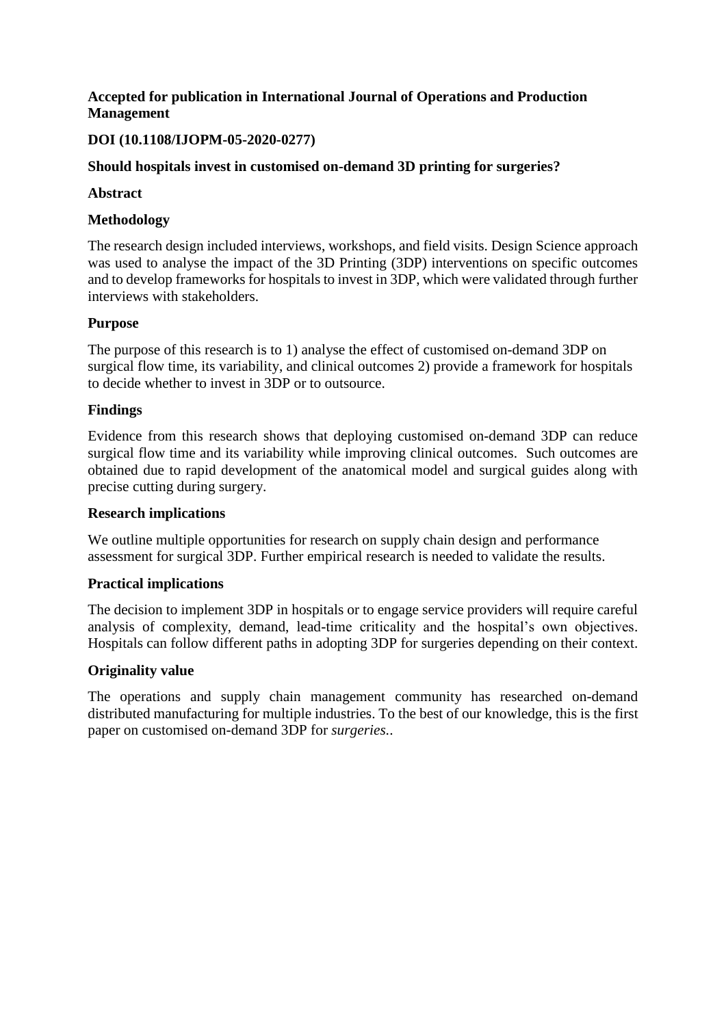## **Accepted for publication in International Journal of Operations and Production Management**

## **DOI (10.1108/IJOPM-05-2020-0277)**

## **Should hospitals invest in customised on-demand 3D printing for surgeries?**

#### **Abstract**

## **Methodology**

The research design included interviews, workshops, and field visits. Design Science approach was used to analyse the impact of the 3D Printing (3DP) interventions on specific outcomes and to develop frameworks for hospitals to invest in 3DP, which were validated through further interviews with stakeholders.

#### **Purpose**

The purpose of this research is to 1) analyse the effect of customised on-demand 3DP on surgical flow time, its variability, and clinical outcomes 2) provide a framework for hospitals to decide whether to invest in 3DP or to outsource.

#### **Findings**

Evidence from this research shows that deploying customised on-demand 3DP can reduce surgical flow time and its variability while improving clinical outcomes. Such outcomes are obtained due to rapid development of the anatomical model and surgical guides along with precise cutting during surgery.

#### **Research implications**

We outline multiple opportunities for research on supply chain design and performance assessment for surgical 3DP. Further empirical research is needed to validate the results.

## **Practical implications**

The decision to implement 3DP in hospitals or to engage service providers will require careful analysis of complexity, demand, lead-time criticality and the hospital's own objectives. Hospitals can follow different paths in adopting 3DP for surgeries depending on their context.

#### **Originality value**

The operations and supply chain management community has researched on-demand distributed manufacturing for multiple industries. To the best of our knowledge, this is the first paper on customised on-demand 3DP for *surgeries.*.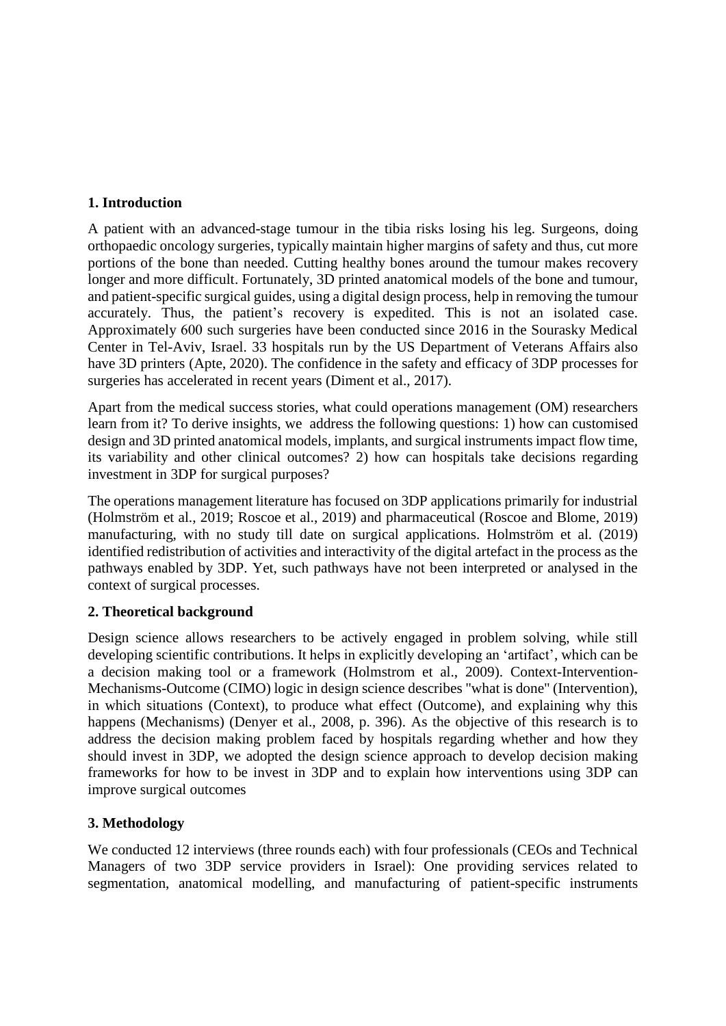## **1. Introduction**

A patient with an advanced-stage tumour in the tibia risks losing his leg. Surgeons, doing orthopaedic oncology surgeries, typically maintain higher margins of safety and thus, cut more portions of the bone than needed. Cutting healthy bones around the tumour makes recovery longer and more difficult. Fortunately, 3D printed anatomical models of the bone and tumour, and patient-specific surgical guides, using a digital design process, help in removing the tumour accurately. Thus, the patient's recovery is expedited. This is not an isolated case. Approximately 600 such surgeries have been conducted since 2016 in the Sourasky Medical Center in Tel-Aviv, Israel. 33 hospitals run by the US Department of Veterans Affairs also have 3D printers (Apte, 2020). The confidence in the safety and efficacy of 3DP processes for surgeries has accelerated in recent years (Diment et al., 2017).

Apart from the medical success stories, what could operations management (OM) researchers learn from it? To derive insights, we address the following questions: 1) how can customised design and 3D printed anatomical models, implants, and surgical instruments impact flow time, its variability and other clinical outcomes? 2) how can hospitals take decisions regarding investment in 3DP for surgical purposes?

The operations management literature has focused on 3DP applications primarily for industrial (Holmström et al., 2019; Roscoe et al., 2019) and pharmaceutical (Roscoe and Blome, 2019) manufacturing, with no study till date on surgical applications. Holmström et al. (2019) identified redistribution of activities and interactivity of the digital artefact in the process as the pathways enabled by 3DP. Yet, such pathways have not been interpreted or analysed in the context of surgical processes.

## **2. Theoretical background**

Design science allows researchers to be actively engaged in problem solving, while still developing scientific contributions. It helps in explicitly developing an 'artifact', which can be a decision making tool or a framework (Holmstrom et al., 2009). Context-Intervention-Mechanisms-Outcome (CIMO) logic in design science describes "what is done" (Intervention), in which situations (Context), to produce what effect (Outcome), and explaining why this happens (Mechanisms) (Denyer et al., 2008, p. 396). As the objective of this research is to address the decision making problem faced by hospitals regarding whether and how they should invest in 3DP, we adopted the design science approach to develop decision making frameworks for how to be invest in 3DP and to explain how interventions using 3DP can improve surgical outcomes

## **3. Methodology**

We conducted 12 interviews (three rounds each) with four professionals (CEOs and Technical Managers of two 3DP service providers in Israel): One providing services related to segmentation, anatomical modelling, and manufacturing of patient-specific instruments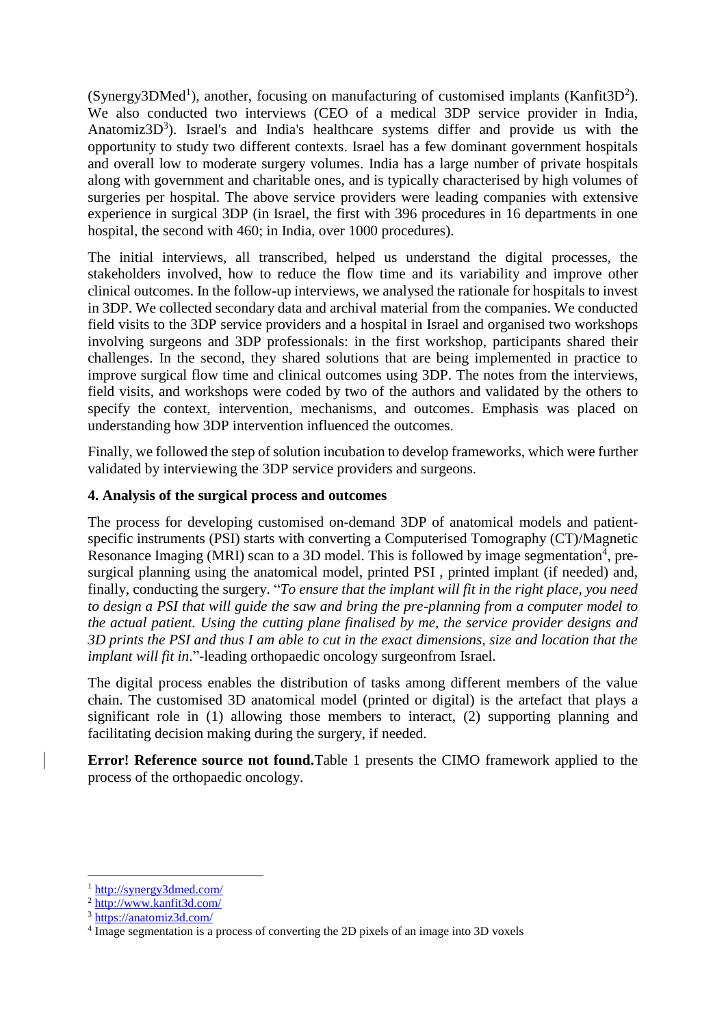$(Synergy3DMed<sup>1</sup>)$ , another, focusing on manufacturing of customised implants (Kanfit3D<sup>2</sup>). We also conducted two interviews (CEO of a medical 3DP service provider in India, Anatomiz $3D<sup>3</sup>$ ). Israel's and India's healthcare systems differ and provide us with the opportunity to study two different contexts. Israel has a few dominant government hospitals and overall low to moderate surgery volumes. India has a large number of private hospitals along with government and charitable ones, and is typically characterised by high volumes of surgeries per hospital. The above service providers were leading companies with extensive experience in surgical 3DP (in Israel, the first with 396 procedures in 16 departments in one hospital, the second with 460; in India, over 1000 procedures).

The initial interviews, all transcribed, helped us understand the digital processes, the stakeholders involved, how to reduce the flow time and its variability and improve other clinical outcomes. In the follow-up interviews, we analysed the rationale for hospitals to invest in 3DP. We collected secondary data and archival material from the companies. We conducted field visits to the 3DP service providers and a hospital in Israel and organised two workshops involving surgeons and 3DP professionals: in the first workshop, participants shared their challenges. In the second, they shared solutions that are being implemented in practice to improve surgical flow time and clinical outcomes using 3DP. The notes from the interviews, field visits, and workshops were coded by two of the authors and validated by the others to specify the context, intervention, mechanisms, and outcomes. Emphasis was placed on understanding how 3DP intervention influenced the outcomes.

Finally, we followed the step of solution incubation to develop frameworks, which were further validated by interviewing the 3DP service providers and surgeons.

#### **4. Analysis of the surgical process and outcomes**

The process for developing customised on-demand 3DP of anatomical models and patientspecific instruments (PSI) starts with converting a Computerised Tomography (CT)/Magnetic Resonance Imaging (MRI) scan to a 3D model. This is followed by image segmentation<sup>4</sup>, presurgical planning using the anatomical model, printed PSI , printed implant (if needed) and, finally, conducting the surgery. "*To ensure that the implant will fit in the right place, you need to design a PSI that will guide the saw and bring the pre-planning from a computer model to the actual patient. Using the cutting plane finalised by me, the service provider designs and 3D prints the PSI and thus I am able to cut in the exact dimensions, size and location that the implant will fit in*."-leading orthopaedic oncology surgeonfrom Israel.

The digital process enables the distribution of tasks among different members of the value chain. The customised 3D anatomical model (printed or digital) is the artefact that plays a significant role in (1) allowing those members to interact, (2) supporting planning and facilitating decision making during the surgery, if needed.

**Error! Reference source not found.**Table 1 presents the CIMO framework applied to the process of the orthopaedic oncology.

**.** 

<sup>1</sup> <http://synergy3dmed.com/>

<sup>2</sup> <http://www.kanfit3d.com/>

<sup>3</sup> <https://anatomiz3d.com/>

<sup>&</sup>lt;sup>4</sup> Image segmentation is a process of converting the 2D pixels of an image into 3D voxels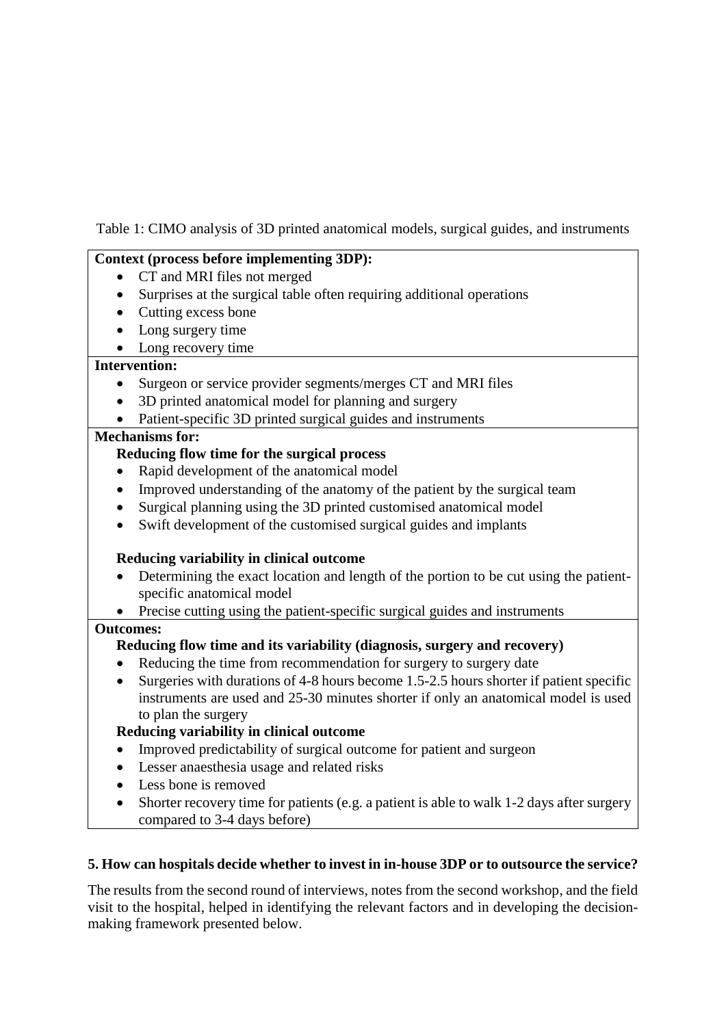Table 1: CIMO analysis of 3D printed anatomical models, surgical guides, and instruments

## **Context (process before implementing 3DP):**

- CT and MRI files not merged
- Surprises at the surgical table often requiring additional operations
- Cutting excess bone
- Long surgery time
- Long recovery time

## **Intervention:**

- Surgeon or service provider segments/merges CT and MRI files
- 3D printed anatomical model for planning and surgery
- Patient-specific 3D printed surgical guides and instruments

## **Mechanisms for:**

## **Reducing flow time for the surgical process**

- Rapid development of the anatomical model
- Improved understanding of the anatomy of the patient by the surgical team
- Surgical planning using the 3D printed customised anatomical model
- Swift development of the customised surgical guides and implants

## **Reducing variability in clinical outcome**

- Determining the exact location and length of the portion to be cut using the patientspecific anatomical model
- Precise cutting using the patient-specific surgical guides and instruments

## **Outcomes:**

# **Reducing flow time and its variability (diagnosis, surgery and recovery)**

- Reducing the time from recommendation for surgery to surgery date
- Surgeries with durations of 4-8 hours become 1.5-2.5 hours shorter if patient specific instruments are used and 25-30 minutes shorter if only an anatomical model is used to plan the surgery

# **Reducing variability in clinical outcome**

- Improved predictability of surgical outcome for patient and surgeon
- Lesser anaesthesia usage and related risks
- Less bone is removed
- Shorter recovery time for patients (e.g. a patient is able to walk 1-2 days after surgery compared to 3-4 days before)

# **5. How can hospitals decide whether to invest in in-house 3DP or to outsource the service?**

The results from the second round of interviews, notes from the second workshop, and the field visit to the hospital, helped in identifying the relevant factors and in developing the decisionmaking framework presented below.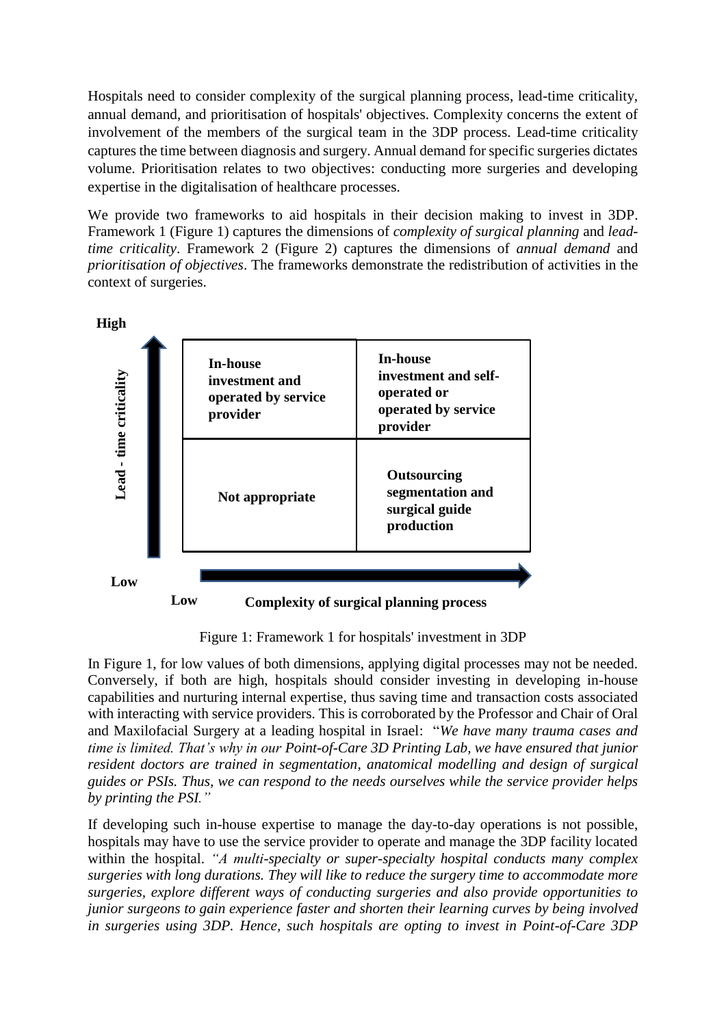Hospitals need to consider complexity of the surgical planning process, lead-time criticality, annual demand, and prioritisation of hospitals' objectives. Complexity concerns the extent of involvement of the members of the surgical team in the 3DP process. Lead-time criticality captures the time between diagnosis and surgery. Annual demand for specific surgeries dictates volume. Prioritisation relates to two objectives: conducting more surgeries and developing expertise in the digitalisation of healthcare processes.

We provide two frameworks to aid hospitals in their decision making to invest in 3DP. Framework 1 (Figure 1) captures the dimensions of *complexity of surgical planning* and *leadtime criticality*. Framework 2 (Figure 2) captures the dimensions of *annual demand* and *prioritisation of objectives*. The frameworks demonstrate the redistribution of activities in the context of surgeries.



Figure 1: Framework 1 for hospitals' investment in 3DP

In Figure 1, for low values of both dimensions, applying digital processes may not be needed. Conversely, if both are high, hospitals should consider investing in developing in-house capabilities and nurturing internal expertise, thus saving time and transaction costs associated with interacting with service providers. This is corroborated by the Professor and Chair of Oral and Maxilofacial Surgery at a leading hospital in Israel: "*We have many trauma cases and time is limited. That's why in our Point-of-Care 3D Printing Lab, we have ensured that junior resident doctors are trained in segmentation, anatomical modelling and design of surgical guides or PSIs. Thus, we can respond to the needs ourselves while the service provider helps by printing the PSI."*

If developing such in-house expertise to manage the day-to-day operations is not possible, hospitals may have to use the service provider to operate and manage the 3DP facility located within the hospital. *"A multi-specialty or super-specialty hospital conducts many complex surgeries with long durations. They will like to reduce the surgery time to accommodate more surgeries, explore different ways of conducting surgeries and also provide opportunities to junior surgeons to gain experience faster and shorten their learning curves by being involved in surgeries using 3DP. Hence, such hospitals are opting to invest in Point-of-Care 3DP*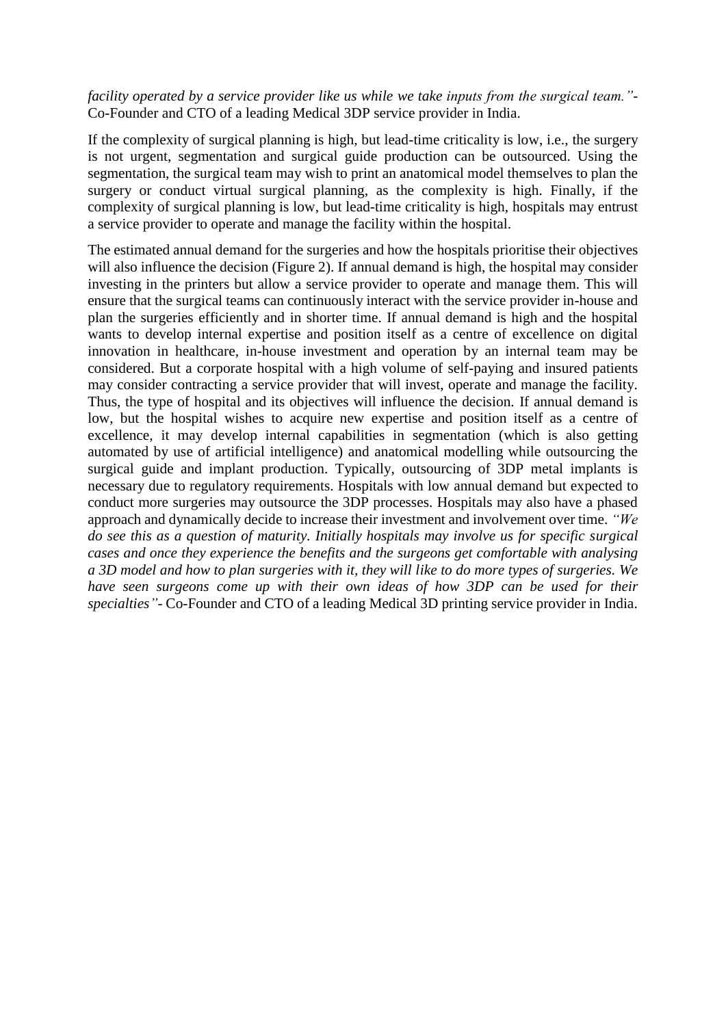*facility operated by a service provider like us while we take inputs from the surgical team."-* Co-Founder and CTO of a leading Medical 3DP service provider in India.

If the complexity of surgical planning is high, but lead-time criticality is low, i.e., the surgery is not urgent, segmentation and surgical guide production can be outsourced. Using the segmentation, the surgical team may wish to print an anatomical model themselves to plan the surgery or conduct virtual surgical planning, as the complexity is high. Finally, if the complexity of surgical planning is low, but lead-time criticality is high, hospitals may entrust a service provider to operate and manage the facility within the hospital.

The estimated annual demand for the surgeries and how the hospitals prioritise their objectives will also influence the decision (Figure 2). If annual demand is high, the hospital may consider investing in the printers but allow a service provider to operate and manage them. This will ensure that the surgical teams can continuously interact with the service provider in-house and plan the surgeries efficiently and in shorter time. If annual demand is high and the hospital wants to develop internal expertise and position itself as a centre of excellence on digital innovation in healthcare, in-house investment and operation by an internal team may be considered. But a corporate hospital with a high volume of self-paying and insured patients may consider contracting a service provider that will invest, operate and manage the facility. Thus, the type of hospital and its objectives will influence the decision. If annual demand is low, but the hospital wishes to acquire new expertise and position itself as a centre of excellence, it may develop internal capabilities in segmentation (which is also getting automated by use of artificial intelligence) and anatomical modelling while outsourcing the surgical guide and implant production. Typically, outsourcing of 3DP metal implants is necessary due to regulatory requirements. Hospitals with low annual demand but expected to conduct more surgeries may outsource the 3DP processes. Hospitals may also have a phased approach and dynamically decide to increase their investment and involvement over time. *"We do see this as a question of maturity. Initially hospitals may involve us for specific surgical cases and once they experience the benefits and the surgeons get comfortable with analysing a 3D model and how to plan surgeries with it, they will like to do more types of surgeries. We have seen surgeons come up with their own ideas of how 3DP can be used for their specialties"-* Co-Founder and CTO of a leading Medical 3D printing service provider in India.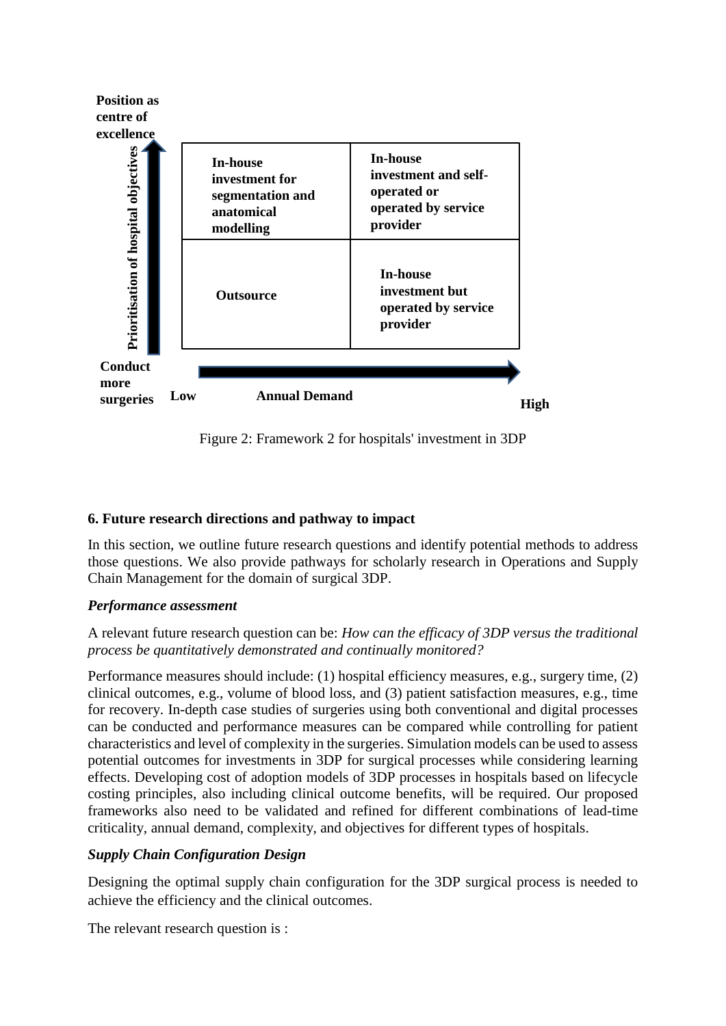

Figure 2: Framework 2 for hospitals' investment in 3DP

# **6. Future research directions and pathway to impact**

In this section, we outline future research questions and identify potential methods to address those questions. We also provide pathways for scholarly research in Operations and Supply Chain Management for the domain of surgical 3DP.

# *Performance assessment*

## A relevant future research question can be: *How can the efficacy of 3DP versus the traditional process be quantitatively demonstrated and continually monitored?*

Performance measures should include: (1) hospital efficiency measures, e.g., surgery time, (2) clinical outcomes, e.g., volume of blood loss, and (3) patient satisfaction measures, e.g., time for recovery. In-depth case studies of surgeries using both conventional and digital processes can be conducted and performance measures can be compared while controlling for patient characteristics and level of complexity in the surgeries. Simulation models can be used to assess potential outcomes for investments in 3DP for surgical processes while considering learning effects. Developing cost of adoption models of 3DP processes in hospitals based on lifecycle costing principles, also including clinical outcome benefits, will be required. Our proposed frameworks also need to be validated and refined for different combinations of lead-time criticality, annual demand, complexity, and objectives for different types of hospitals.

# *Supply Chain Configuration Design*

Designing the optimal supply chain configuration for the 3DP surgical process is needed to achieve the efficiency and the clinical outcomes.

The relevant research question is :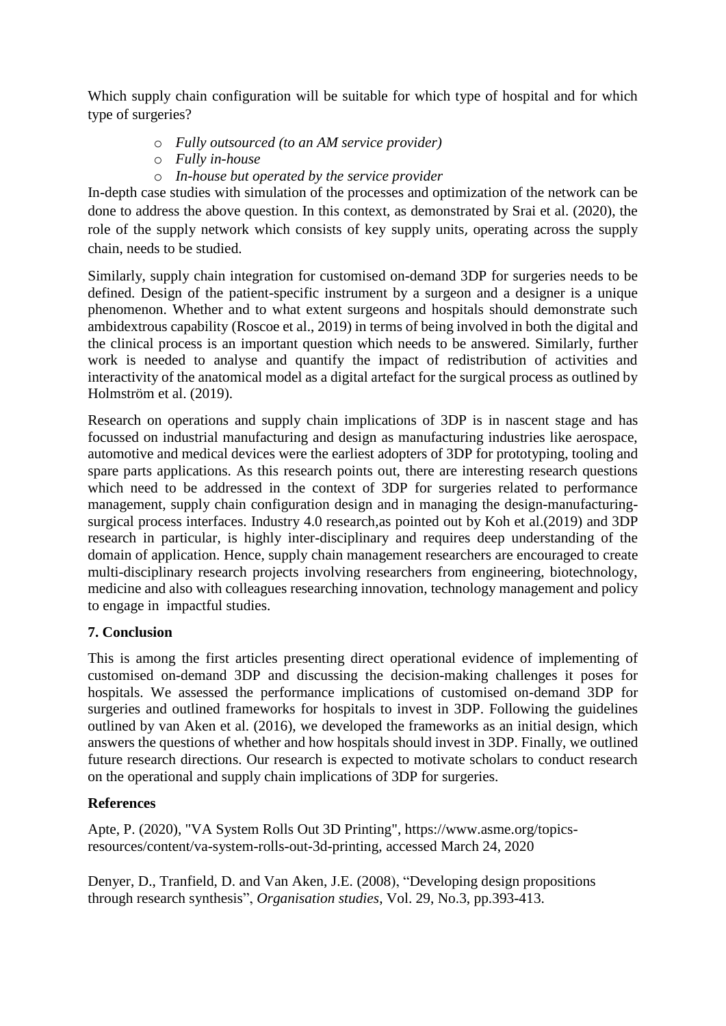Which supply chain configuration will be suitable for which type of hospital and for which type of surgeries?

- o *Fully outsourced (to an AM service provider)*
- o *Fully in-house*
- o *In-house but operated by the service provider*

In-depth case studies with simulation of the processes and optimization of the network can be done to address the above question. In this context, as demonstrated by Srai et al. (2020), the role of the supply network which consists of key supply units, operating across the supply chain, needs to be studied.

Similarly, supply chain integration for customised on-demand 3DP for surgeries needs to be defined. Design of the patient-specific instrument by a surgeon and a designer is a unique phenomenon. Whether and to what extent surgeons and hospitals should demonstrate such ambidextrous capability (Roscoe et al., 2019) in terms of being involved in both the digital and the clinical process is an important question which needs to be answered. Similarly, further work is needed to analyse and quantify the impact of redistribution of activities and interactivity of the anatomical model as a digital artefact for the surgical process as outlined by Holmström et al. (2019).

Research on operations and supply chain implications of 3DP is in nascent stage and has focussed on industrial manufacturing and design as manufacturing industries like aerospace, automotive and medical devices were the earliest adopters of 3DP for prototyping, tooling and spare parts applications. As this research points out, there are interesting research questions which need to be addressed in the context of 3DP for surgeries related to performance management, supply chain configuration design and in managing the design-manufacturingsurgical process interfaces. Industry 4.0 research,as pointed out by Koh et al.(2019) and 3DP research in particular, is highly inter-disciplinary and requires deep understanding of the domain of application. Hence, supply chain management researchers are encouraged to create multi-disciplinary research projects involving researchers from engineering, biotechnology, medicine and also with colleagues researching innovation, technology management and policy to engage in impactful studies.

# **7. Conclusion**

This is among the first articles presenting direct operational evidence of implementing of customised on-demand 3DP and discussing the decision-making challenges it poses for hospitals. We assessed the performance implications of customised on-demand 3DP for surgeries and outlined frameworks for hospitals to invest in 3DP. Following the guidelines outlined by van Aken et al. (2016), we developed the frameworks as an initial design, which answers the questions of whether and how hospitals should invest in 3DP. Finally, we outlined future research directions. Our research is expected to motivate scholars to conduct research on the operational and supply chain implications of 3DP for surgeries.

# **References**

Apte, P. (2020), "VA System Rolls Out 3D Printing", [https://www.asme.org/topics](https://www.asme.org/topics-resources/content/va-system-rolls-out-3d-printing)[resources/content/va-system-rolls-out-3d-printing,](https://www.asme.org/topics-resources/content/va-system-rolls-out-3d-printing) accessed March 24, 2020

Denyer, D., Tranfield, D. and Van Aken, J.E. (2008), "Developing design propositions through research synthesis", *Organisation studies*, Vol. 29, No.3, pp.393-413.